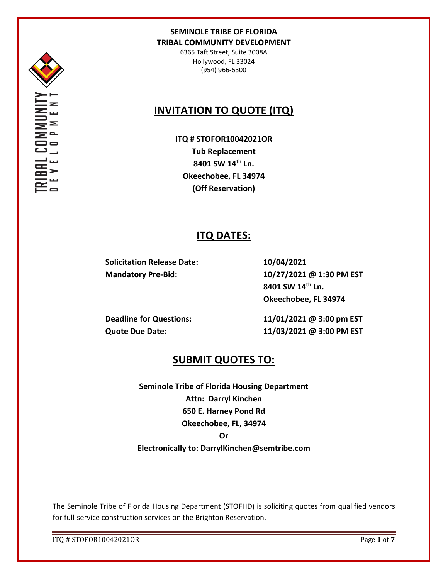

6365 Taft Street, Suite 3008A Hollywood, FL 33024 (954) 966-6300

# **INVITATION TO QUOTE (ITQ)**

**ITQ # STOFOR10042021OR Tub Replacement 8401 SW 14th Ln. Okeechobee, FL 34974 (Off Reservation)**

# **ITQ DATES:**

**Solicitation Release Date: 10/04/2021**

**Mandatory Pre-Bid: 10/27/2021 @ 1:30 PM EST 8401 SW 14th Ln. Okeechobee, FL 34974**

**Deadline for Questions: 11/01/2021 @ 3:00 pm EST Quote Due Date: 11/03/2021 @ 3:00 PM EST**

# **SUBMIT QUOTES TO:**

**Seminole Tribe of Florida Housing Department Attn: Darryl Kinchen 650 E. Harney Pond Rd Okeechobee, FL, 34974 Or Electronically to: DarrylKinchen@semtribe.com**

The Seminole Tribe of Florida Housing Department (STOFHD) is soliciting quotes from qualified vendors for full-service construction services on the Brighton Reservation.

ITQ # STOFOR10042021OR Page **1** of **7**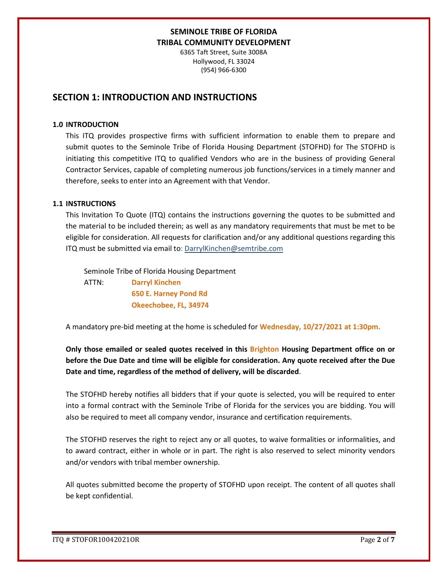6365 Taft Street, Suite 3008A Hollywood, FL 33024 (954) 966-6300

## **SECTION 1: INTRODUCTION AND INSTRUCTIONS**

#### **1.0 INTRODUCTION**

This ITQ provides prospective firms with sufficient information to enable them to prepare and submit quotes to the Seminole Tribe of Florida Housing Department (STOFHD) for The STOFHD is initiating this competitive ITQ to qualified Vendors who are in the business of providing General Contractor Services, capable of completing numerous job functions/services in a timely manner and therefore, seeks to enter into an Agreement with that Vendor.

#### **1.1 INSTRUCTIONS**

This Invitation To Quote (ITQ) contains the instructions governing the quotes to be submitted and the material to be included therein; as well as any mandatory requirements that must be met to be eligible for consideration. All requests for clarification and/or any additional questions regarding this ITQ must be submitted via email to: DarrylKinchen@semtribe.com

 Seminole Tribe of Florida Housing Department ATTN: **Darryl Kinchen**

 **650 E. Harney Pond Rd Okeechobee, FL, 34974**

A mandatory pre-bid meeting at the home is scheduled for **Wednesday, 10/27/2021 at 1:30pm.**

**Only those emailed or sealed quotes received in this Brighton Housing Department office on or before the Due Date and time will be eligible for consideration. Any quote received after the Due Date and time, regardless of the method of delivery, will be discarded**.

The STOFHD hereby notifies all bidders that if your quote is selected, you will be required to enter into a formal contract with the Seminole Tribe of Florida for the services you are bidding. You will also be required to meet all company vendor, insurance and certification requirements.

The STOFHD reserves the right to reject any or all quotes, to waive formalities or informalities, and to award contract, either in whole or in part. The right is also reserved to select minority vendors and/or vendors with tribal member ownership.

All quotes submitted become the property of STOFHD upon receipt. The content of all quotes shall be kept confidential.

ITQ # STOFOR10042021OR Page **2** of **7**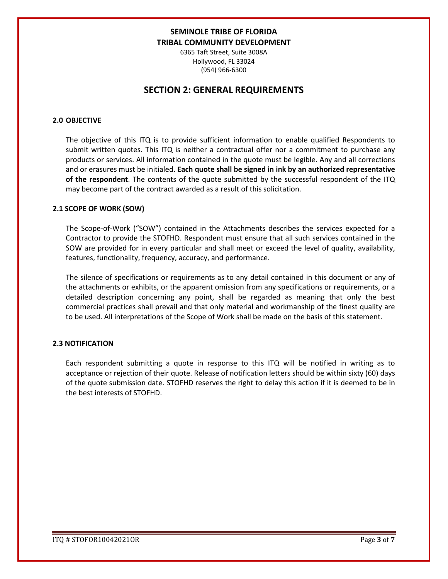6365 Taft Street, Suite 3008A Hollywood, FL 33024 (954) 966-6300

## **SECTION 2: GENERAL REQUIREMENTS**

### **2.0 OBJECTIVE**

The objective of this ITQ is to provide sufficient information to enable qualified Respondents to submit written quotes. This ITQ is neither a contractual offer nor a commitment to purchase any products or services. All information contained in the quote must be legible. Any and all corrections and or erasures must be initialed. **Each quote shall be signed in ink by an authorized representative of the respondent**. The contents of the quote submitted by the successful respondent of the ITQ may become part of the contract awarded as a result of this solicitation.

#### **2.1 SCOPE OF WORK (SOW)**

The Scope-of-Work ("SOW") contained in the Attachments describes the services expected for a Contractor to provide the STOFHD. Respondent must ensure that all such services contained in the SOW are provided for in every particular and shall meet or exceed the level of quality, availability, features, functionality, frequency, accuracy, and performance.

The silence of specifications or requirements as to any detail contained in this document or any of the attachments or exhibits, or the apparent omission from any specifications or requirements, or a detailed description concerning any point, shall be regarded as meaning that only the best commercial practices shall prevail and that only material and workmanship of the finest quality are to be used. All interpretations of the Scope of Work shall be made on the basis of this statement.

#### **2.3 NOTIFICATION**

Each respondent submitting a quote in response to this ITQ will be notified in writing as to acceptance or rejection of their quote. Release of notification letters should be within sixty (60) days of the quote submission date. STOFHD reserves the right to delay this action if it is deemed to be in the best interests of STOFHD.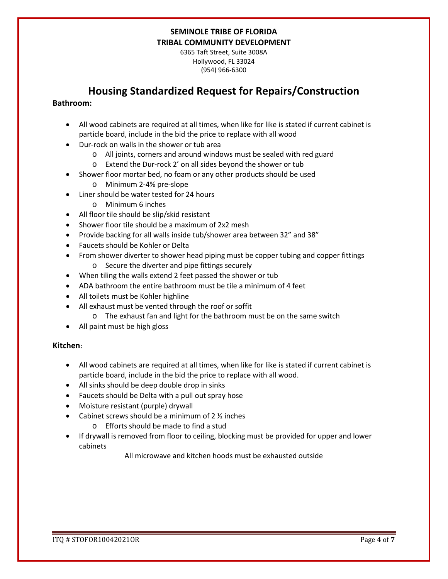6365 Taft Street, Suite 3008A Hollywood, FL 33024 (954) 966-6300

# **Housing Standardized Request for Repairs/Construction**

### **Bathroom:**

- All wood cabinets are required at all times, when like for like is stated if current cabinet is particle board, include in the bid the price to replace with all wood
- Dur-rock on walls in the shower or tub area
	- o All joints, corners and around windows must be sealed with red guard
	- o Extend the Dur-rock 2' on all sides beyond the shower or tub
- Shower floor mortar bed, no foam or any other products should be used
	- o Minimum 2-4% pre-slope
- Liner should be water tested for 24 hours
	- o Minimum 6 inches
- All floor tile should be slip/skid resistant
- Shower floor tile should be a maximum of 2x2 mesh
- Provide backing for all walls inside tub/shower area between 32" and 38"
- Faucets should be Kohler or Delta
- From shower diverter to shower head piping must be copper tubing and copper fittings o Secure the diverter and pipe fittings securely
- When tiling the walls extend 2 feet passed the shower or tub
- ADA bathroom the entire bathroom must be tile a minimum of 4 feet
- All toilets must be Kohler highline
- All exhaust must be vented through the roof or soffit
	- o The exhaust fan and light for the bathroom must be on the same switch
- All paint must be high gloss

### **Kitchen:**

- All wood cabinets are required at all times, when like for like is stated if current cabinet is particle board, include in the bid the price to replace with all wood.
- All sinks should be deep double drop in sinks
- Faucets should be Delta with a pull out spray hose
- Moisture resistant (purple) drywall
- Cabinet screws should be a minimum of  $2 \frac{1}{2}$  inches
	- o Efforts should be made to find a stud
- If drywall is removed from floor to ceiling, blocking must be provided for upper and lower cabinets

All microwave and kitchen hoods must be exhausted outside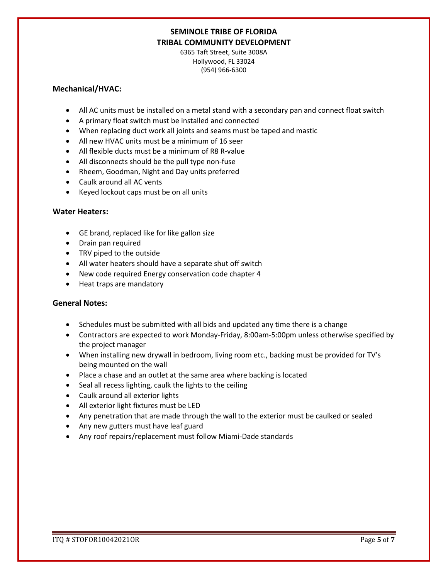6365 Taft Street, Suite 3008A Hollywood, FL 33024 (954) 966-6300

### **Mechanical/HVAC:**

- All AC units must be installed on a metal stand with a secondary pan and connect float switch
- A primary float switch must be installed and connected
- When replacing duct work all joints and seams must be taped and mastic
- All new HVAC units must be a minimum of 16 seer
- All flexible ducts must be a minimum of R8 R-value
- All disconnects should be the pull type non-fuse
- Rheem, Goodman, Night and Day units preferred
- Caulk around all AC vents
- Keyed lockout caps must be on all units

### **Water Heaters:**

- GE brand, replaced like for like gallon size
- Drain pan required
- TRV piped to the outside
- All water heaters should have a separate shut off switch
- New code required Energy conservation code chapter 4
- Heat traps are mandatory

### **General Notes:**

- Schedules must be submitted with all bids and updated any time there is a change
- Contractors are expected to work Monday-Friday, 8:00am-5:00pm unless otherwise specified by the project manager
- When installing new drywall in bedroom, living room etc., backing must be provided for TV's being mounted on the wall
- Place a chase and an outlet at the same area where backing is located
- Seal all recess lighting, caulk the lights to the ceiling
- Caulk around all exterior lights
- All exterior light fixtures must be LED
- Any penetration that are made through the wall to the exterior must be caulked or sealed
- Any new gutters must have leaf guard
- Any roof repairs/replacement must follow Miami-Dade standards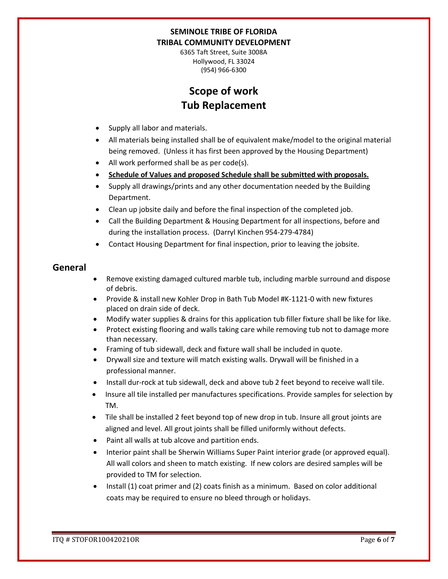6365 Taft Street, Suite 3008A Hollywood, FL 33024 (954) 966-6300

# **Scope of work Tub Replacement**

- Supply all labor and materials.
- All materials being installed shall be of equivalent make/model to the original material being removed. (Unless it has first been approved by the Housing Department)
- All work performed shall be as per code(s).
- **Schedule of Values and proposed Schedule shall be submitted with proposals.**
- Supply all drawings/prints and any other documentation needed by the Building Department.
- Clean up jobsite daily and before the final inspection of the completed job.
- Call the Building Department & Housing Department for all inspections, before and during the installation process. (Darryl Kinchen 954-279-4784)
- Contact Housing Department for final inspection, prior to leaving the jobsite.

## **General**

- Remove existing damaged cultured marble tub, including marble surround and dispose of debris.
- Provide & install new Kohler Drop in Bath Tub Model #K-1121-0 with new fixtures placed on drain side of deck.
- Modify water supplies & drains for this application tub filler fixture shall be like for like.
- Protect existing flooring and walls taking care while removing tub not to damage more than necessary.
- Framing of tub sidewall, deck and fixture wall shall be included in quote.
- Drywall size and texture will match existing walls. Drywall will be finished in a professional manner.
- Install dur-rock at tub sidewall, deck and above tub 2 feet beyond to receive wall tile.
- Insure all tile installed per manufactures specifications. Provide samples for selection by TM.
- Tile shall be installed 2 feet beyond top of new drop in tub. Insure all grout joints are aligned and level. All grout joints shall be filled uniformly without defects.
- Paint all walls at tub alcove and partition ends.
- Interior paint shall be Sherwin Williams Super Paint interior grade (or approved equal). All wall colors and sheen to match existing. If new colors are desired samples will be provided to TM for selection.
- Install (1) coat primer and (2) coats finish as a minimum. Based on color additional coats may be required to ensure no bleed through or holidays.